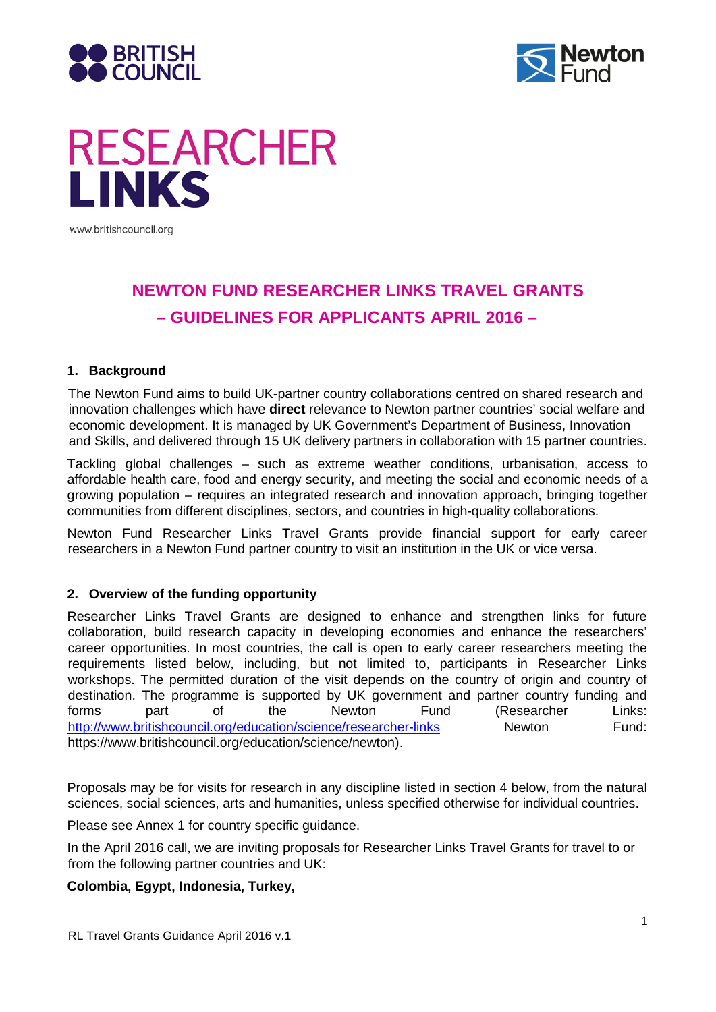



# **RESEARCHER LINKS**

www.britishcouncil.org

# **NEWTON FUND RESEARCHER LINKS TRAVEL GRANTS – GUIDELINES FOR APPLICANTS APRIL 2016 –**

# **1. Background**

The Newton Fund aims to build UK-partner country collaborations centred on shared research and innovation challenges which have **direct** relevance to Newton partner countries' social welfare and economic development. It is managed by UK Government's Department of Business, Innovation and Skills, and delivered through 15 UK delivery partners in collaboration with 15 partner countries.

Tackling global challenges – such as extreme weather conditions, urbanisation, access to affordable health care, food and energy security, and meeting the social and economic needs of a growing population – requires an integrated research and innovation approach, bringing together communities from different disciplines, sectors, and countries in high-quality collaborations.

Newton Fund Researcher Links Travel Grants provide financial support for early career researchers in a Newton Fund partner country to visit an institution in the UK or vice versa.

# **2. Overview of the funding opportunity**

Researcher Links Travel Grants are designed to enhance and strengthen links for future collaboration, build research capacity in developing economies and enhance the researchers' career opportunities. In most countries, the call is open to early career researchers meeting the requirements listed below, including, but not limited to, participants in Researcher Links workshops. The permitted duration of the visit depends on the country of origin and country of destination. The programme is supported by UK government and partner country funding and forms part of the Newton Fund (Researcher Links: <http://www.britishcouncil.org/education/science/researcher-links> Newton Fund: https://www.britishcouncil.org/education/science/newto[n\).](http://www.britishcouncil.org/education/science/newton/)

Proposals may be for visits for research in any discipline listed in section 4 below, from the natural sciences, social sciences, arts and humanities, unless specified otherwise for individual countries.

Please see Annex 1 for country specific guidance.

In the April 2016 call, we are inviting proposals for Researcher Links Travel Grants for travel to or from the following partner countries and UK:

### **Colombia, Egypt, Indonesia, Turkey,**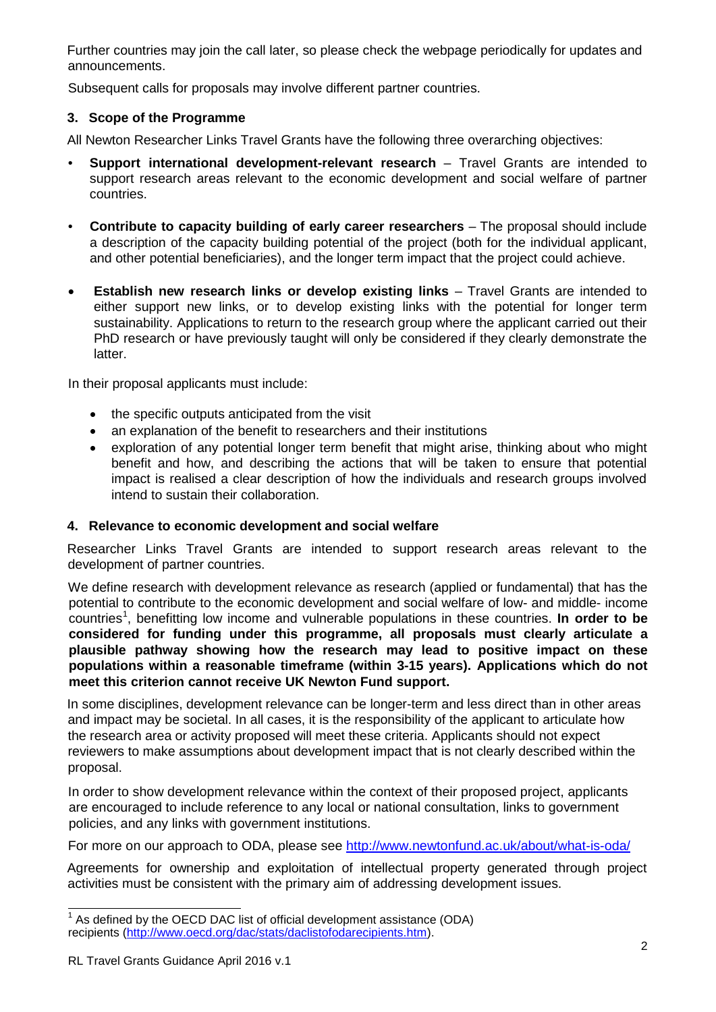Further countries may join the call later, so please check the webpage periodically for updates and announcements.

Subsequent calls for proposals may involve different partner countries.

# **3. Scope of the Programme**

All Newton Researcher Links Travel Grants have the following three overarching objectives:

- **Support international development-relevant research** Travel Grants are intended to support research areas relevant to the economic development and social welfare of partner countries.
- **Contribute to capacity building of early career researchers**  The proposal should include a description of the capacity building potential of the project (both for the individual applicant, and other potential beneficiaries), and the longer term impact that the project could achieve.
- **Establish new research links or develop existing links** Travel Grants are intended to either support new links, or to develop existing links with the potential for longer term sustainability. Applications to return to the research group where the applicant carried out their PhD research or have previously taught will only be considered if they clearly demonstrate the latter.

In their proposal applicants must include:

- the specific outputs anticipated from the visit
- an explanation of the benefit to researchers and their institutions
- exploration of any potential longer term benefit that might arise, thinking about who might benefit and how, and describing the actions that will be taken to ensure that potential impact is realised a clear description of how the individuals and research groups involved intend to sustain their collaboration.

# **4. Relevance to economic development and social welfare**

Researcher Links Travel Grants are intended to support research areas relevant to the development of partner countries.

We define research with development relevance as research (applied or fundamental) that has the potential to contribute to the economic development and social welfare of low- and middle- income countries<sup>[1](#page-1-0)</sup>, benefitting low income and vulnerable populations in these countries. **In order to be considered for funding under this programme, all proposals must clearly articulate a plausible pathway showing how the research may lead to positive impact on these populations within a reasonable timeframe (within 3-15 years). Applications which do not meet this criterion cannot receive UK Newton Fund support.**

In some disciplines, development relevance can be longer-term and less direct than in other areas and impact may be societal. In all cases, it is the responsibility of the applicant to articulate how the research area or activity proposed will meet these criteria. Applicants should not expect reviewers to make assumptions about development impact that is not clearly described within the proposal.

In order to show development relevance within the context of their proposed project, applicants are encouraged to include reference to any local or national consultation, links to government policies, and any links with government institutions.

For more on our approach to ODA, please see<http://www.newtonfund.ac.uk/about/what-is-oda/>

Agreements for ownership and exploitation of intellectual property generated through project activities must be consistent with the primary aim of addressing development issues.

<span id="page-1-0"></span> $1$  As defined by the OECD DAC list of official development assistance (ODA) recipients [\(http://www.oecd.org/dac/stats/daclistofodarecipients.htm\).](http://www.oecd.org/dac/stats/daclistofodarecipients.htm)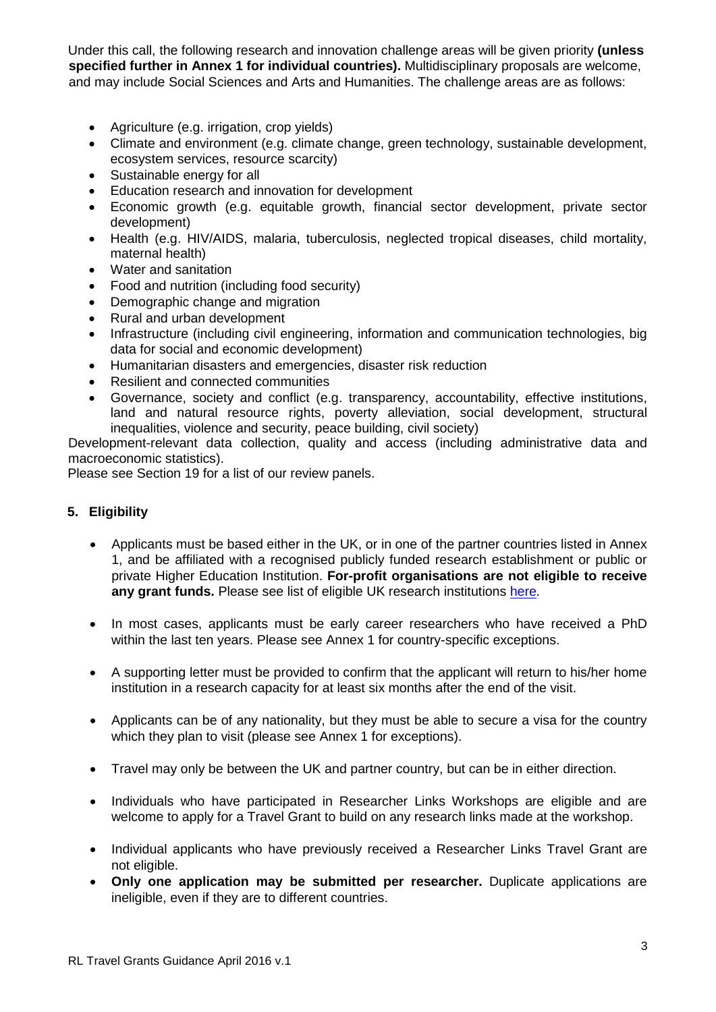Under this call, the following research and innovation challenge areas will be given priority **(unless specified further in Annex 1 for individual countries).** Multidisciplinary proposals are welcome, and may include Social Sciences and Arts and Humanities. The challenge areas are as follows:

- Agriculture (e.g. irrigation, crop yields)
- Climate and environment (e.g. climate change, green technology, sustainable development, ecosystem services, resource scarcity)
- Sustainable energy for all
- Education research and innovation for development
- Economic growth (e.g. equitable growth, financial sector development, private sector development)
- Health (e.g. HIV/AIDS, malaria, tuberculosis, neglected tropical diseases, child mortality, maternal health)
- Water and sanitation
- Food and nutrition (including food security)
- Demographic change and migration
- Rural and urban development
- Infrastructure (including civil engineering, information and communication technologies, big data for social and economic development)
- Humanitarian disasters and emergencies, disaster risk reduction
- Resilient and connected communities
- Governance, society and conflict (e.g. transparency, accountability, effective institutions, land and natural resource rights, poverty alleviation, social development, structural inequalities, violence and security, peace building, civil society)

Development-relevant data collection, quality and access (including administrative data and macroeconomic statistics).

Please see Section 19 for a list of our review panels.

# **5. Eligibility**

- Applicants must be based either in the UK, or in one of the partner countries listed in Annex 1, and be affiliated with a recognised publicly funded research establishment or public or private Higher Education Institution. **For-profit organisations are not eligible to receive any grant funds.** Please see list of eligible UK research institutions [here.](http://www.britishcouncil.org/sites/britishcouncil.uk2/files/institutional_links_-_eligible_uk_research_organisations_-_version_1april_2015.pdf)
- In most cases, applicants must be early career researchers who have received a PhD within the last ten years. Please see Annex 1 for country-specific exceptions.
- A supporting letter must be provided to confirm that the applicant will return to his/her home institution in a research capacity for at least six months after the end of the visit.
- Applicants can be of any nationality, but they must be able to secure a visa for the country which they plan to visit (please see Annex 1 for exceptions).
- Travel may only be between the UK and partner country, but can be in either direction.
- Individuals who have participated in Researcher Links Workshops are eligible and are welcome to apply for a Travel Grant to build on any research links made at the workshop.
- Individual applicants who have previously received a Researcher Links Travel Grant are not eligible.
- **Only one application may be submitted per researcher.** Duplicate applications are ineligible, even if they are to different countries.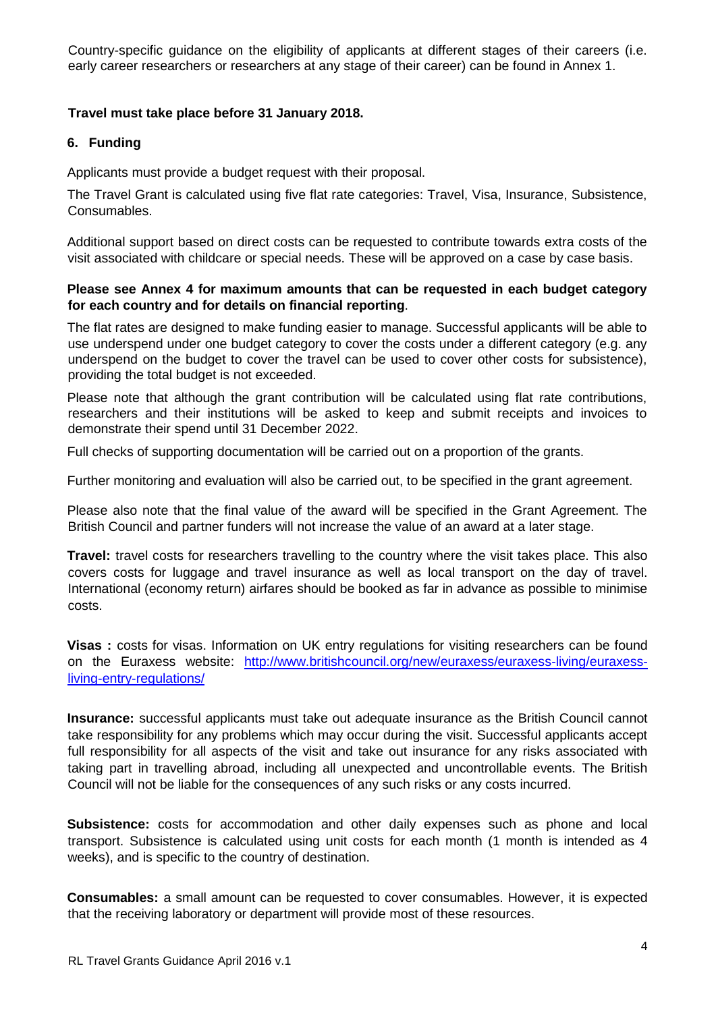Country-specific guidance on the eligibility of applicants at different stages of their careers (i.e. early career researchers or researchers at any stage of their career) can be found in Annex 1.

# **Travel must take place before 31 January 2018.**

### **6. Funding**

Applicants must provide a budget request with their proposal.

The Travel Grant is calculated using five flat rate categories: Travel, Visa, Insurance, Subsistence, Consumables.

Additional support based on direct costs can be requested to contribute towards extra costs of the visit associated with childcare or special needs. These will be approved on a case by case basis.

### **Please see Annex 4 for maximum amounts that can be requested in each budget category for each country and for details on financial reporting**.

The flat rates are designed to make funding easier to manage. Successful applicants will be able to use underspend under one budget category to cover the costs under a different category (e.g. any underspend on the budget to cover the travel can be used to cover other costs for subsistence), providing the total budget is not exceeded.

Please note that although the grant contribution will be calculated using flat rate contributions, researchers and their institutions will be asked to keep and submit receipts and invoices to demonstrate their spend until 31 December 2022.

Full checks of supporting documentation will be carried out on a proportion of the grants.

Further monitoring and evaluation will also be carried out, to be specified in the grant agreement.

Please also note that the final value of the award will be specified in the Grant Agreement. The British Council and partner funders will not increase the value of an award at a later stage.

**Travel:** travel costs for researchers travelling to the country where the visit takes place. This also covers costs for luggage and travel insurance as well as local transport on the day of travel. International (economy return) airfares should be booked as far in advance as possible to minimise costs.

Visas : costs for visas. Information on UK entry regulations for visiting researchers can be found on the Euraxess website: [http://www.britishcouncil.org/new/euraxess/euraxess-living/euraxess](http://www.britishcouncil.org/new/euraxess/euraxess-living/euraxess-living-entry-regulations/)[living-entry-regulations/](http://www.britishcouncil.org/new/euraxess/euraxess-living/euraxess-living-entry-regulations/)

**Insurance:** successful applicants must take out adequate insurance as the British Council cannot take responsibility for any problems which may occur during the visit. Successful applicants accept full responsibility for all aspects of the visit and take out insurance for any risks associated with taking part in travelling abroad, including all unexpected and uncontrollable events. The British Council will not be liable for the consequences of any such risks or any costs incurred.

**Subsistence:** costs for accommodation and other daily expenses such as phone and local transport. Subsistence is calculated using unit costs for each month (1 month is intended as 4 weeks), and is specific to the country of destination.

**Consumables:** a small amount can be requested to cover consumables. However, it is expected that the receiving laboratory or department will provide most of these resources.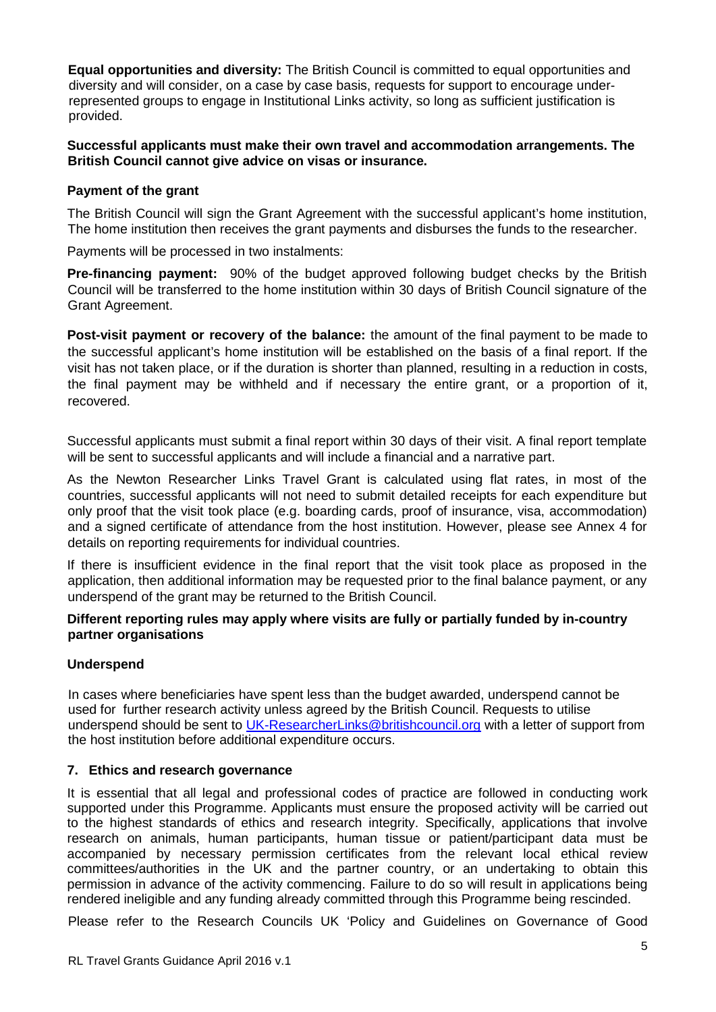**Equal opportunities and diversity:** The British Council is committed to equal opportunities and diversity and will consider, on a case by case basis, requests for support to encourage underrepresented groups to engage in Institutional Links activity, so long as sufficient justification is provided.

# **Successful applicants must make their own travel and accommodation arrangements. The British Council cannot give advice on visas or insurance.**

# **Payment of the grant**

The British Council will sign the Grant Agreement with the successful applicant's home institution, The home institution then receives the grant payments and disburses the funds to the researcher.

Payments will be processed in two instalments:

**Pre-financing payment:** 90% of the budget approved following budget checks by the British Council will be transferred to the home institution within 30 days of British Council signature of the Grant Agreement.

**Post-visit payment or recovery of the balance:** the amount of the final payment to be made to the successful applicant's home institution will be established on the basis of a final report. If the visit has not taken place, or if the duration is shorter than planned, resulting in a reduction in costs, the final payment may be withheld and if necessary the entire grant, or a proportion of it, recovered.

Successful applicants must submit a final report within 30 days of their visit. A final report template will be sent to successful applicants and will include a financial and a narrative part.

As the Newton Researcher Links Travel Grant is calculated using flat rates, in most of the countries, successful applicants will not need to submit detailed receipts for each expenditure but only proof that the visit took place (e.g. boarding cards, proof of insurance, visa, accommodation) and a signed certificate of attendance from the host institution. However, please see Annex 4 for details on reporting requirements for individual countries.

If there is insufficient evidence in the final report that the visit took place as proposed in the application, then additional information may be requested prior to the final balance payment, or any underspend of the grant may be returned to the British Council.

### **Different reporting rules may apply where visits are fully or partially funded by in-country partner organisations**

# **Underspend**

In cases where beneficiaries have spent less than the budget awarded, underspend cannot be used for further research activity unless agreed by the British Council. Requests to utilise underspend should be sent to [UK-ResearcherLinks@britishcouncil.org](mailto:UK-ResearcherLinks@britishcouncil.org) with a letter of support from the host institution before additional expenditure occurs.

# **7. Ethics and research governance**

It is essential that all legal and professional codes of practice are followed in conducting work supported under this Programme. Applicants must ensure the proposed activity will be carried out to the highest standards of ethics and research integrity. Specifically, applications that involve research on animals, human participants, human tissue or patient/participant data must be accompanied by necessary permission certificates from the relevant local ethical review committees/authorities in the UK and the partner country, or an undertaking to obtain this permission in advance of the activity commencing. Failure to do so will result in applications being rendered ineligible and any funding already committed through this Programme being rescinded.

Please refer to the Research Councils UK 'Policy and Guidelines on Governance of Good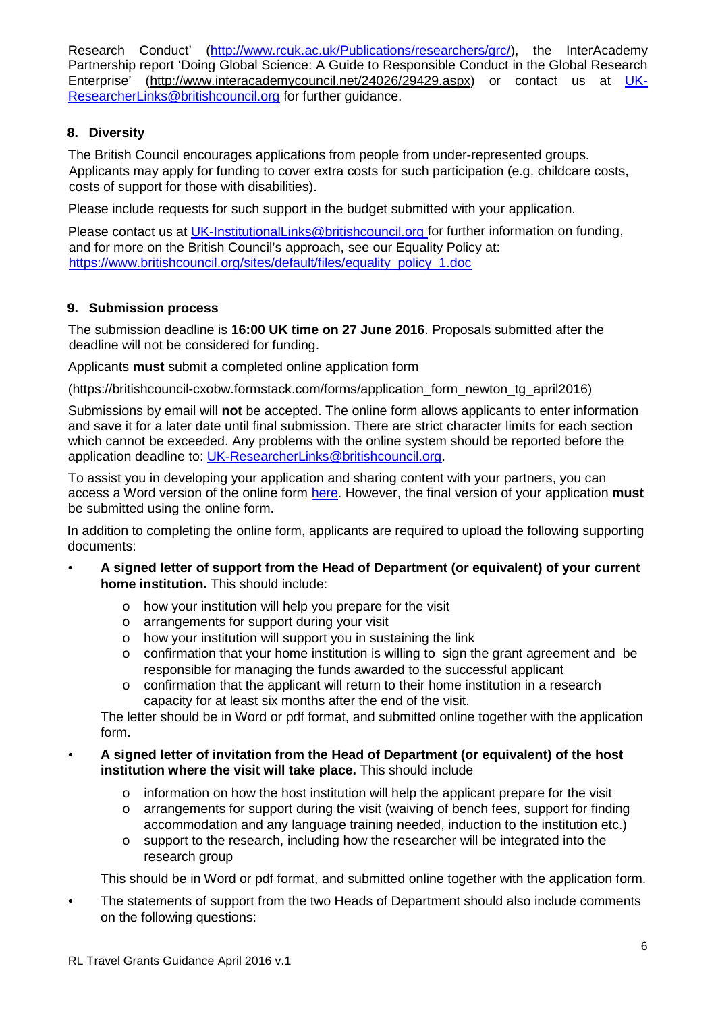Research Conduct' [\(http://www.rcuk.ac.uk/Publications/researchers/grc/\)](http://www.rcuk.ac.uk/Publications/researchers/grc/), the InterAcademy Partnership report 'Doing Global Science: A Guide to Responsible Conduct in the Global Research Enterprise' [\(http://www.interacademycouncil.net/24026/29429.aspx\)](http://www.interacademycouncil.net/24026/29429.aspx) or contact us at [UK-](mailto:UK-ResearcherLinks@britishcouncil.org)[ResearcherLinks@britishcouncil.org](mailto:UK-ResearcherLinks@britishcouncil.org) for further guidance.

# **8. Diversity**

The British Council encourages applications from people from under-represented groups. Applicants may apply for funding to cover extra costs for such participation (e.g. childcare costs, costs of support for those with disabilities).

Please include requests for such support in the budget submitted with your application.

Please contact us at [UK-InstitutionalLinks@britishcouncil.org](mailto:UK-InstitutionalLinks@britishcouncil.org) for further information on funding. and for more on the British Council's approach, see our Equality Policy at: [https://www.britishcouncil.org/sites/default/files/equality\\_policy\\_1.doc](https://www.britishcouncil.org/sites/default/files/equality_policy_1.doc)

# **9. Submission process**

The submission deadline is **16:00 UK time on 27 June 2016**. Proposals submitted after the deadline will not be considered for funding.

Applicants **must** submit a completed online application form

(https://britishcouncil-cxobw.formstack.com/forms/application\_form\_newton\_tg\_april2016)

Submissions by email will **not** be accepted. The online form allows applicants to enter information and save it for a later date until final submission. There are strict character limits for each section which cannot be exceeded. Any problems with the online system should be reported before the application deadline to: UK-ResearcherLinks@britishcouncil.org.

To assist you in developing your application and sharing content with your partners, you can access a Word version of the online form [here.](http://www.britishcouncil.org/education/science/current-opportunities/travel-grants-newton-april-2016) However, the final version of your application **must** be submitted using the online form.

In addition to completing the online form, applicants are required to upload the following supporting documents:

- **A signed letter of support from the Head of Department (or equivalent) of your current home institution.** This should include:
	- o how your institution will help you prepare for the visit
	- o arrangements for support during your visit
	- o how your institution will support you in sustaining the link
	- o confirmation that your home institution is willing to sign the grant agreement and be responsible for managing the funds awarded to the successful applicant
	- $\circ$  confirmation that the applicant will return to their home institution in a research capacity for at least six months after the end of the visit.

The letter should be in Word or pdf format, and submitted online together with the application form.

- **A signed letter of invitation from the Head of Department (or equivalent) of the host institution where the visit will take place.** This should include
	- $\circ$  information on how the host institution will help the applicant prepare for the visit
	- o arrangements for support during the visit (waiving of bench fees, support for finding accommodation and any language training needed, induction to the institution etc.)
	- $\circ$  support to the research, including how the researcher will be integrated into the research group

This should be in Word or pdf format, and submitted online together with the application form.

• The statements of support from the two Heads of Department should also include comments on the following questions: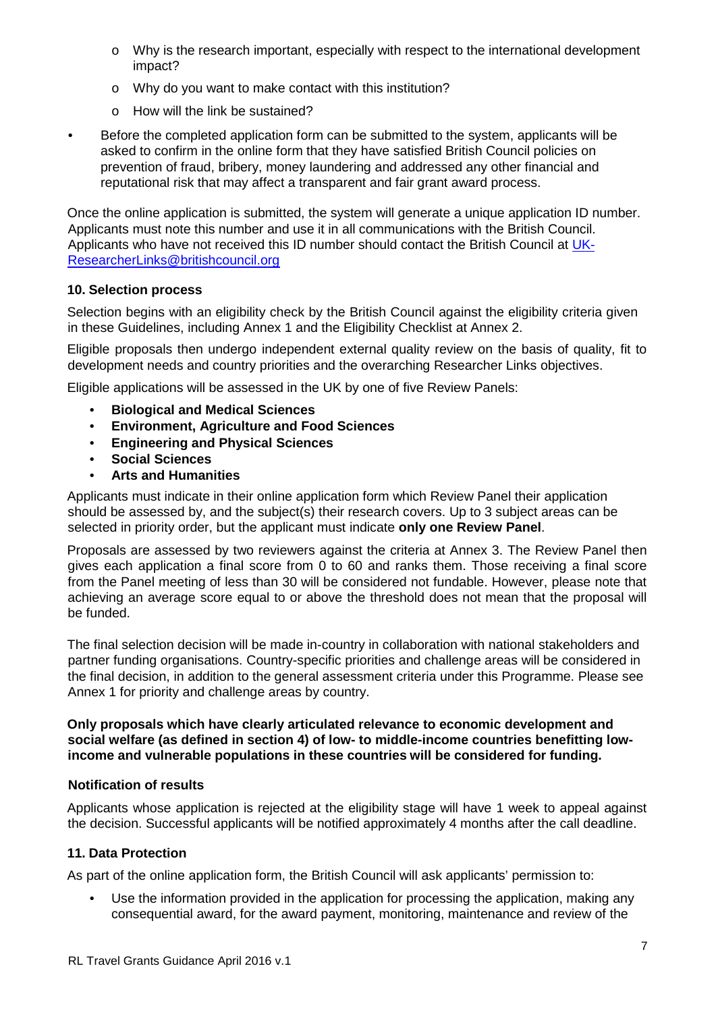- o Why is the research important, especially with respect to the international development impact?
- o Why do you want to make contact with this institution?
- o How will the link be sustained?
- Before the completed application form can be submitted to the system, applicants will be asked to confirm in the online form that they have satisfied British Council policies on prevention of fraud, bribery, money laundering and addressed any other financial and reputational risk that may affect a transparent and fair grant award process.

Once the online application is submitted, the system will generate a unique application ID number. Applicants must note this number and use it in all communications with the British Council. Applicants who have not received this ID number should contact the British Council at [UK-](mailto:UK-ResearcherLinks@britishcouncil.org)[ResearcherLinks@britishcouncil.org](mailto:UK-ResearcherLinks@britishcouncil.org)

# **10. Selection process**

Selection begins with an eligibility check by the British Council against the eligibility criteria given in these Guidelines, including Annex 1 and the Eligibility Checklist at Annex 2.

Eligible proposals then undergo independent external quality review on the basis of quality, fit to development needs and country priorities and the overarching Researcher Links objectives.

Eligible applications will be assessed in the UK by one of five Review Panels:

- **Biological and Medical Sciences**
- **Environment, Agriculture and Food Sciences**
- **Engineering and Physical Sciences**
- **Social Sciences**
- **Arts and Humanities**

Applicants must indicate in their online application form which Review Panel their application should be assessed by, and the subject(s) their research covers. Up to 3 subject areas can be selected in priority order, but the applicant must indicate **only one Review Panel**.

Proposals are assessed by two reviewers against the criteria at Annex 3. The Review Panel then gives each application a final score from 0 to 60 and ranks them. Those receiving a final score from the Panel meeting of less than 30 will be considered not fundable. However, please note that achieving an average score equal to or above the threshold does not mean that the proposal will be funded.

The final selection decision will be made in-country in collaboration with national stakeholders and partner funding organisations. Country-specific priorities and challenge areas will be considered in the final decision, in addition to the general assessment criteria under this Programme. Please see Annex 1 for priority and challenge areas by country.

**Only proposals which have clearly articulated relevance to economic development and social welfare (as defined in section 4) of low- to middle-income countries benefitting lowincome and vulnerable populations in these countries will be considered for funding.**

# **Notification of results**

Applicants whose application is rejected at the eligibility stage will have 1 week to appeal against the decision. Successful applicants will be notified approximately 4 months after the call deadline.

# **11. Data Protection**

As part of the online application form, the British Council will ask applicants' permission to:

• Use the information provided in the application for processing the application, making any consequential award, for the award payment, monitoring, maintenance and review of the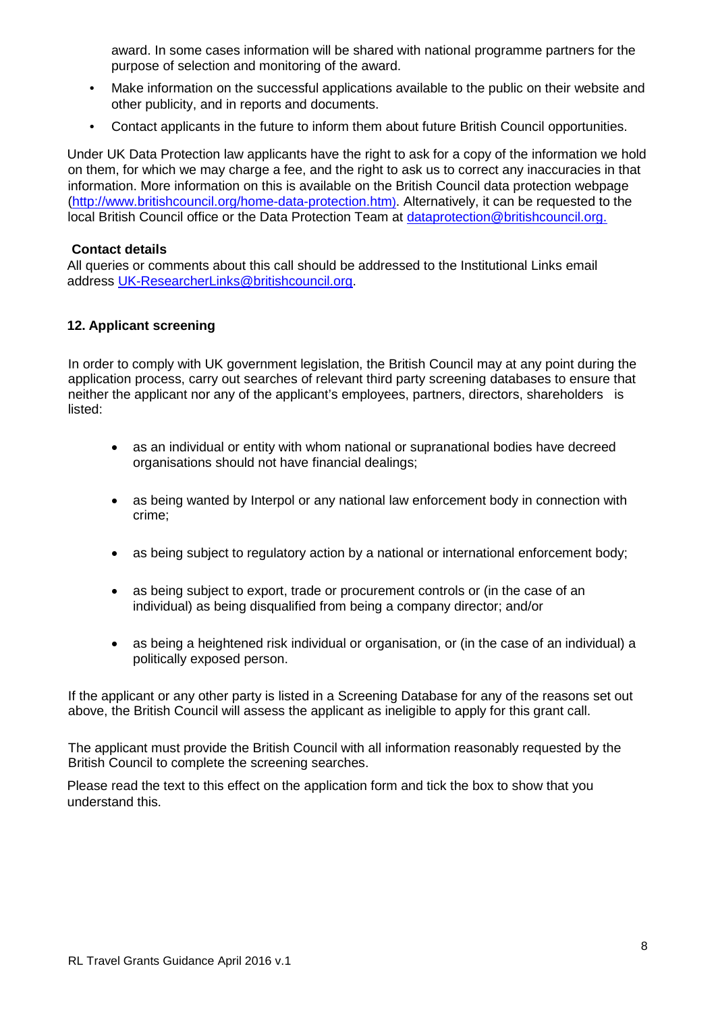award. In some cases information will be shared with national programme partners for the purpose of selection and monitoring of the award.

- Make information on the successful applications available to the public on their website and other publicity, and in reports and documents.
- Contact applicants in the future to inform them about future British Council opportunities.

Under UK Data Protection law applicants have the right to ask for a copy of the information we hold on them, for which we may charge a fee, and the right to ask us to correct any inaccuracies in that information. More information on this is available on the British Council data protection webpage [\(http://www.britishcouncil.org/home-data-protection.htm\).](http://www.britishcouncil.org/home-data-protection.htm)) Alternatively, it can be requested to the local British Council office or the Data Protection Team at dataprotection@britishcouncil.org.

# **Contact details**

All queries or comments about this call should be addressed to the Institutional Links email address [UK-ResearcherLinks@britishcouncil.org.](mailto:UK-ResearcherLinks@britishcouncil.org)

# **12. Applicant screening**

In order to comply with UK government legislation, the British Council may at any point during the application process, carry out searches of relevant third party screening databases to ensure that neither the applicant nor any of the applicant's employees, partners, directors, shareholders is listed:

- as an individual or entity with whom national or supranational bodies have decreed organisations should not have financial dealings;
- as being wanted by Interpol or any national law enforcement body in connection with crime;
- as being subject to regulatory action by a national or international enforcement body;
- as being subject to export, trade or procurement controls or (in the case of an individual) as being disqualified from being a company director; and/or
- as being a heightened risk individual or organisation, or (in the case of an individual) a politically exposed person.

If the applicant or any other party is listed in a Screening Database for any of the reasons set out above, the British Council will assess the applicant as ineligible to apply for this grant call.

The applicant must provide the British Council with all information reasonably requested by the British Council to complete the screening searches.

Please read the text to this effect on the application form and tick the box to show that you understand this.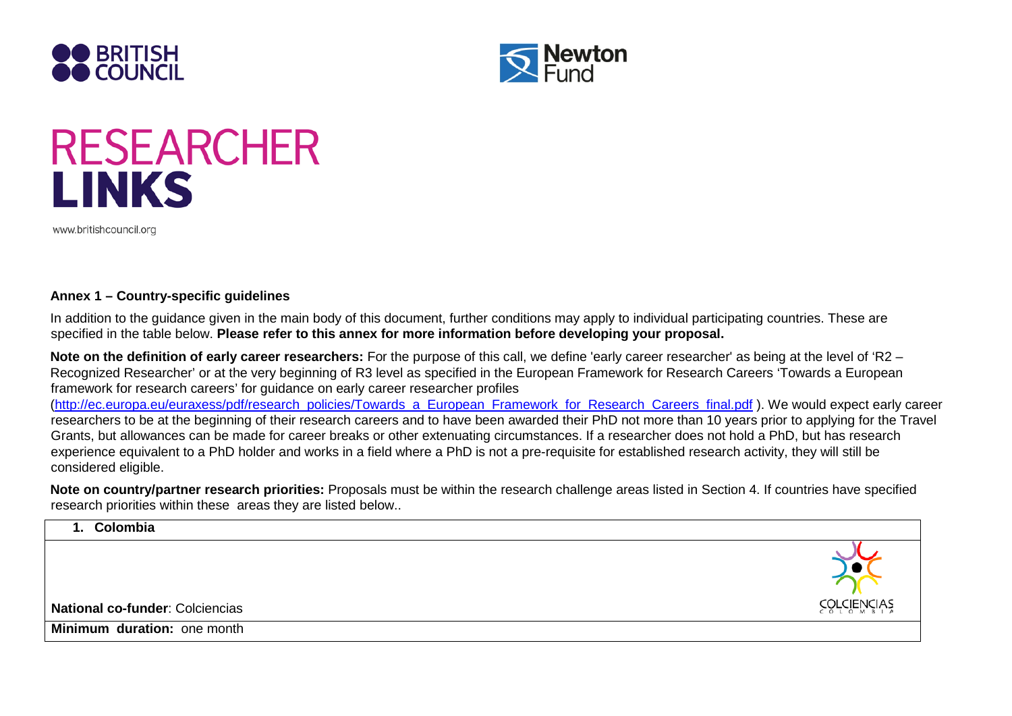



# **RESEARCHER LINKS**

www.britishcouncil.org

#### **Annex 1 – Country-specific guidelines**

In addition to the guidance given in the main body of this document, further conditions may apply to individual participating countries. These are specified in the table below. **Please refer to this annex for more information before developing your proposal.** 

**Note on the definition of early career researchers:** For the purpose of this call, we define 'early career researcher' as being at the level of 'R2 – Recognized Researcher' or at the very beginning of R3 level as specified in the European Framework for Research Careers 'Towards a European framework for research careers' for guidance on early career researcher profiles [\(http://ec.europa.eu/euraxess/pdf/research\\_policies/Towards\\_a\\_European\\_Framework\\_for\\_Research\\_Careers\\_final.pdf](http://ec.europa.eu/euraxess/pdf/research_policies/Towards_a_European_Framework_for_Research_Careers_final.pdf) [\)](http://ec.europa.eu/euraxess/pdf/research_policies/Towards_a_European_Framework_for_Research_Careers_final.pdf). We would expect early career researchers to be at the beginning of their research careers and to have been awarded their PhD not more than 10 years prior to applying for the Travel Grants, but allowances can be made for career breaks or other extenuating circumstances. If a researcher does not hold a PhD, but has research experience equivalent to a PhD holder and works in a field where a PhD is not a pre-requisite for established research activity, they will still be considered eligible.

**Note on country/partner research priorities:** Proposals must be within the research challenge areas listed in Section 4. If countries have specified research priorities within these areas they are listed below..

| 1. Colombia                     |                               |
|---------------------------------|-------------------------------|
| National co-funder: Colciencias | <b>ĊŎŕĊĨĔŬĊĬ<del>V</del>Ž</b> |
| Minimum duration: one month     |                               |
|                                 |                               |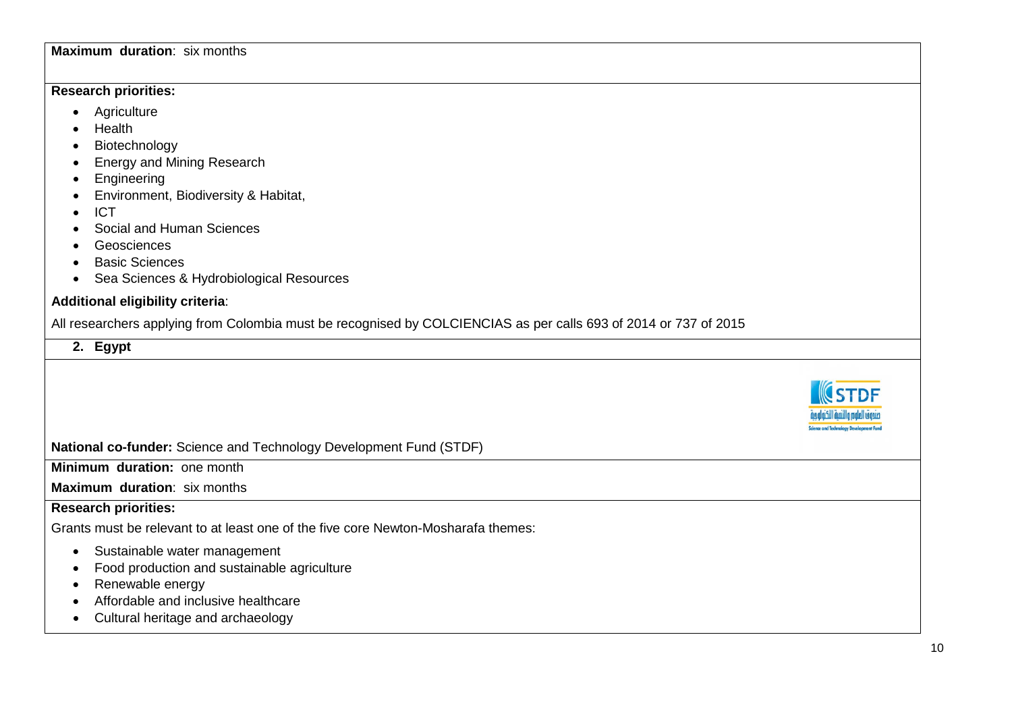# **Maximum duration**: six months

# **Research priorities:**

- Agriculture
- Health
- Biotechnology
- Energy and Mining Research
- Engineering
- Environment, Biodiversity & Habitat,
- ICT
- Social and Human Sciences
- Geosciences
- Basic Sciences
- Sea Sciences & Hydrobiological Resources

# **Additional eligibility criteria**:

All researchers applying from Colombia must be recognised by COLCIENCIAS as per calls 693 of 2014 or 737 of 2015

# **2. Egypt**

**National co-funder:** Science and Technology Development Fund (STDF)

**Minimum duration:** one month

# **Maximum duration**: six months

# **Research priorities:**

Grants must be relevant to at least one of the five core Newton-Mosharafa themes:

- Sustainable water management
- Food production and sustainable agriculture
- Renewable energy
- Affordable and inclusive healthcare
- Cultural heritage and archaeology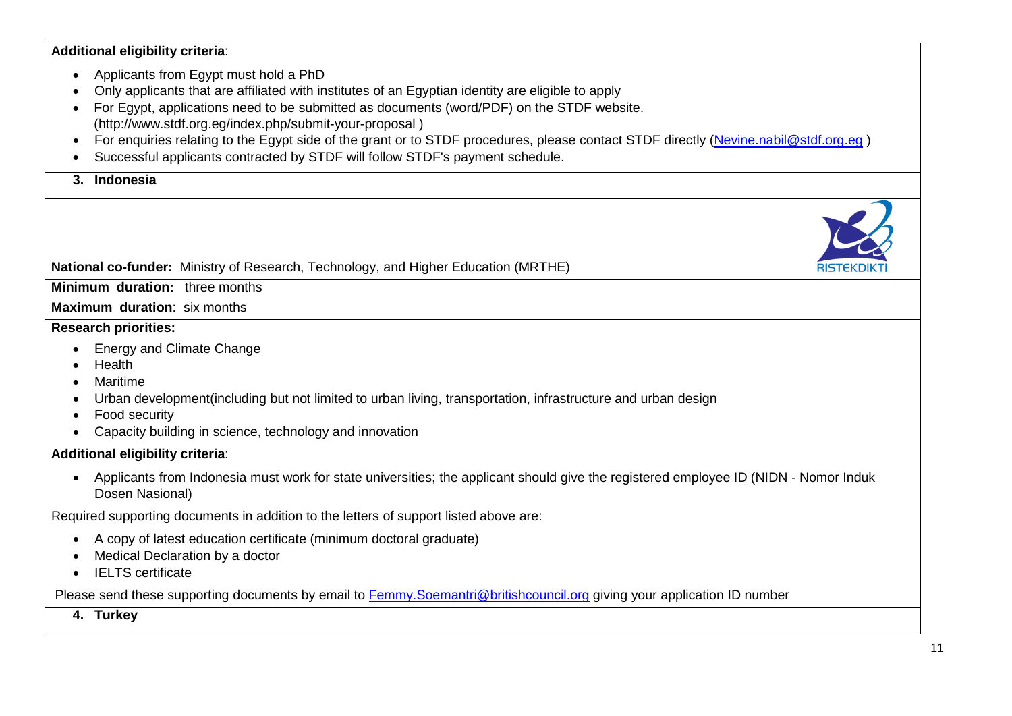**Additional eligibility criteria**:

- Applicants from Egypt must hold a PhD
- Only applicants that are affiliated with institutes of an Egyptian identity are eligible to apply
- For Egypt, applications need to be submitted as documents (word/PDF) on the STDF website. (http://www.stdf.org.eg/index.php/submit-your-proposal )
- For enquiries relating to the Egypt side of the grant or to STDF procedures, please contact STDF directly [\(Nevine.nabil@stdf.org.eg](mailto:Nevine.nabil@stdf.org.eg))
- Successful applicants contracted by STDF will follow STDF's payment schedule.

**3. Indonesia**

# **National co-funder:** Ministry of Research, Technology, and Higher Education (MRTHE)

**Minimum duration:** three months

**Maximum duration**: six months

# **Research priorities:**

- Energy and Climate Change
- Health
- Maritime
- Urban development(including but not limited to urban living, transportation, infrastructure and urban design
- Food security
- Capacity building in science, technology and innovation

# **Additional eligibility criteria**:

• Applicants from Indonesia must work for state universities; the applicant should give the registered employee ID (NIDN - Nomor Induk Dosen Nasional)

Required supporting documents in addition to the letters of support listed above are:

- A copy of latest education certificate (minimum doctoral graduate)
- Medical Declaration by a doctor
- IELTS certificate

Please send these supporting documents by email to [Femmy.Soemantri@britishcouncil.org](mailto:Femmy.Soemantri@britishcouncil.org) giving your application ID number

**4. Turkey**

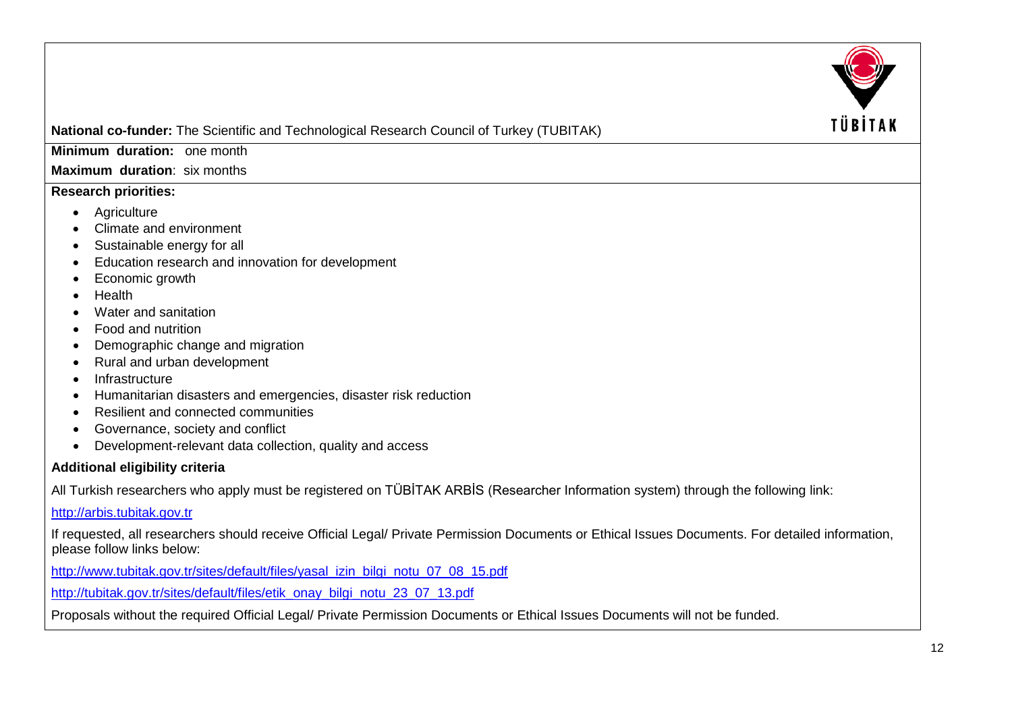

**Minimum duration:** one month

**Maximum duration**: six months

# **Research priorities:**

- Agriculture
- Climate and environment
- Sustainable energy for all
- Education research and innovation for development
- Economic growth
- Health
- Water and sanitation
- Food and nutrition
- Demographic change and migration
- Rural and urban development
- Infrastructure
- Humanitarian disasters and emergencies, disaster risk reduction
- Resilient and connected communities
- Governance, society and conflict
- Development-relevant data collection, quality and access

# **Additional eligibility criteria**

All Turkish researchers who apply must be registered on TÜBİTAK ARBİS (Researcher Information system) through the following link:

[http://arbis.tubitak.gov.tr](http://arbis.tubitak.gov.tr/)

If requested, all researchers should receive Official Legal/ Private Permission Documents or Ethical Issues Documents. For detailed information, please follow links below:

[http://www.tubitak.gov.tr/sites/default/files/yasal\\_izin\\_bilgi\\_notu\\_07\\_08\\_15.pdf](http://www.tubitak.gov.tr/sites/default/files/yasal_izin_bilgi_notu_07_08_15.pdf)

[http://tubitak.gov.tr/sites/default/files/etik\\_onay\\_bilgi\\_notu\\_23\\_07\\_13.pdf](http://tubitak.gov.tr/sites/default/files/etik_onay_bilgi_notu_23_07_13.pdf)

Proposals without the required Official Legal/ Private Permission Documents or Ethical Issues Documents will not be funded.

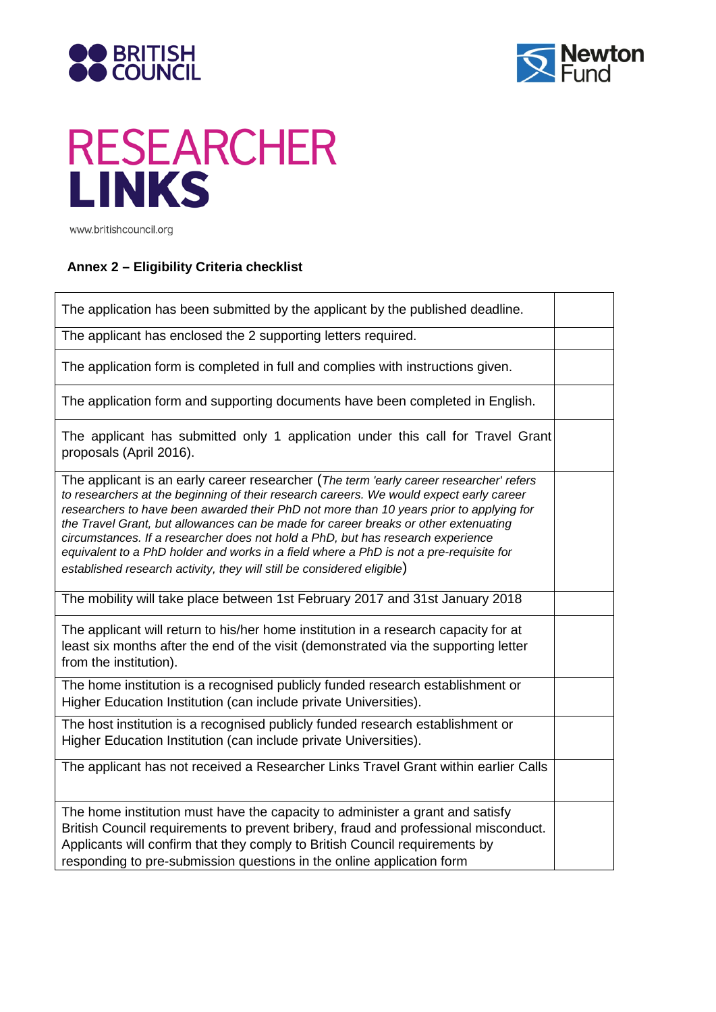



# **RESEARCHER LINKS**

www.britishcouncil.org

'n

# **Annex 2 – Eligibility Criteria checklist**

| The application has been submitted by the applicant by the published deadline.                                                                                                                                                                                                                                                                                                                                                                                                                                                                                                                                             |  |
|----------------------------------------------------------------------------------------------------------------------------------------------------------------------------------------------------------------------------------------------------------------------------------------------------------------------------------------------------------------------------------------------------------------------------------------------------------------------------------------------------------------------------------------------------------------------------------------------------------------------------|--|
| The applicant has enclosed the 2 supporting letters required.                                                                                                                                                                                                                                                                                                                                                                                                                                                                                                                                                              |  |
| The application form is completed in full and complies with instructions given.                                                                                                                                                                                                                                                                                                                                                                                                                                                                                                                                            |  |
| The application form and supporting documents have been completed in English.                                                                                                                                                                                                                                                                                                                                                                                                                                                                                                                                              |  |
| The applicant has submitted only 1 application under this call for Travel Grant<br>proposals (April 2016).                                                                                                                                                                                                                                                                                                                                                                                                                                                                                                                 |  |
| The applicant is an early career researcher (The term 'early career researcher' refers<br>to researchers at the beginning of their research careers. We would expect early career<br>researchers to have been awarded their PhD not more than 10 years prior to applying for<br>the Travel Grant, but allowances can be made for career breaks or other extenuating<br>circumstances. If a researcher does not hold a PhD, but has research experience<br>equivalent to a PhD holder and works in a field where a PhD is not a pre-requisite for<br>established research activity, they will still be considered eligible) |  |
| The mobility will take place between 1st February 2017 and 31st January 2018                                                                                                                                                                                                                                                                                                                                                                                                                                                                                                                                               |  |
| The applicant will return to his/her home institution in a research capacity for at<br>least six months after the end of the visit (demonstrated via the supporting letter<br>from the institution).                                                                                                                                                                                                                                                                                                                                                                                                                       |  |
| The home institution is a recognised publicly funded research establishment or<br>Higher Education Institution (can include private Universities).                                                                                                                                                                                                                                                                                                                                                                                                                                                                         |  |
| The host institution is a recognised publicly funded research establishment or<br>Higher Education Institution (can include private Universities).                                                                                                                                                                                                                                                                                                                                                                                                                                                                         |  |
| The applicant has not received a Researcher Links Travel Grant within earlier Calls                                                                                                                                                                                                                                                                                                                                                                                                                                                                                                                                        |  |
| The home institution must have the capacity to administer a grant and satisfy<br>British Council requirements to prevent bribery, fraud and professional misconduct.<br>Applicants will confirm that they comply to British Council requirements by<br>responding to pre-submission questions in the online application form                                                                                                                                                                                                                                                                                               |  |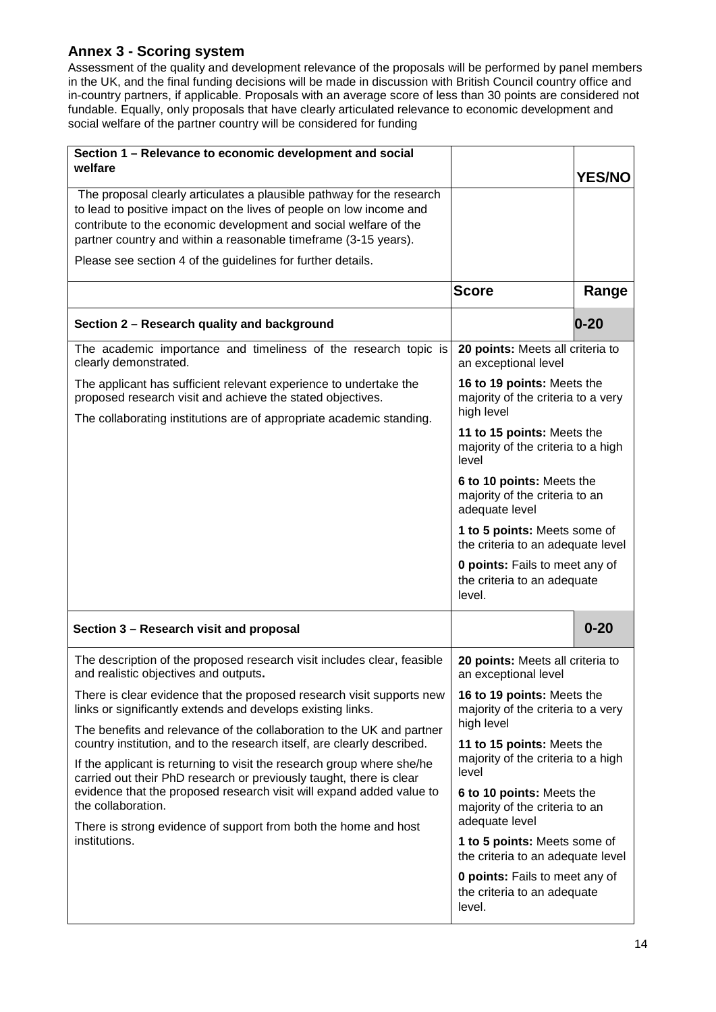# **Annex 3 - Scoring system**

Assessment of the quality and development relevance of the proposals will be performed by panel members in the UK, and the final funding decisions will be made in discussion with British Council country office and in-country partners, if applicable. Proposals with an average score of less than 30 points are considered not fundable. Equally, only proposals that have clearly articulated relevance to economic development and social welfare of the partner country will be considered for funding

| Section 1 - Relevance to economic development and social                                                                                                                                                                                                                                                                                           |                                                                                |               |  |  |
|----------------------------------------------------------------------------------------------------------------------------------------------------------------------------------------------------------------------------------------------------------------------------------------------------------------------------------------------------|--------------------------------------------------------------------------------|---------------|--|--|
| welfare                                                                                                                                                                                                                                                                                                                                            |                                                                                | <b>YES/NO</b> |  |  |
| The proposal clearly articulates a plausible pathway for the research<br>to lead to positive impact on the lives of people on low income and<br>contribute to the economic development and social welfare of the<br>partner country and within a reasonable timeframe (3-15 years).<br>Please see section 4 of the guidelines for further details. |                                                                                |               |  |  |
|                                                                                                                                                                                                                                                                                                                                                    | <b>Score</b>                                                                   | Range         |  |  |
| Section 2 - Research quality and background                                                                                                                                                                                                                                                                                                        |                                                                                | $0 - 20$      |  |  |
| The academic importance and timeliness of the research topic is<br>clearly demonstrated.                                                                                                                                                                                                                                                           | 20 points: Meets all criteria to<br>an exceptional level                       |               |  |  |
| The applicant has sufficient relevant experience to undertake the<br>proposed research visit and achieve the stated objectives.<br>The collaborating institutions are of appropriate academic standing.                                                                                                                                            | 16 to 19 points: Meets the<br>majority of the criteria to a very<br>high level |               |  |  |
|                                                                                                                                                                                                                                                                                                                                                    | 11 to 15 points: Meets the<br>majority of the criteria to a high<br>level      |               |  |  |
|                                                                                                                                                                                                                                                                                                                                                    | 6 to 10 points: Meets the<br>majority of the criteria to an<br>adequate level  |               |  |  |
|                                                                                                                                                                                                                                                                                                                                                    | 1 to 5 points: Meets some of<br>the criteria to an adequate level              |               |  |  |
|                                                                                                                                                                                                                                                                                                                                                    | <b>0 points:</b> Fails to meet any of<br>the criteria to an adequate<br>level. |               |  |  |
| Section 3 - Research visit and proposal                                                                                                                                                                                                                                                                                                            |                                                                                | $0 - 20$      |  |  |
| The description of the proposed research visit includes clear, feasible<br>and realistic objectives and outputs.                                                                                                                                                                                                                                   | 20 points: Meets all criteria to<br>an exceptional level                       |               |  |  |
| There is clear evidence that the proposed research visit supports new<br>links or significantly extends and develops existing links.                                                                                                                                                                                                               | 16 to 19 points: Meets the<br>majority of the criteria to a very<br>high level |               |  |  |
| The benefits and relevance of the collaboration to the UK and partner<br>country institution, and to the research itself, are clearly described.                                                                                                                                                                                                   | 11 to 15 points: Meets the                                                     |               |  |  |
| If the applicant is returning to visit the research group where she/he<br>carried out their PhD research or previously taught, there is clear                                                                                                                                                                                                      | majority of the criteria to a high<br>level                                    |               |  |  |
| evidence that the proposed research visit will expand added value to<br>the collaboration.                                                                                                                                                                                                                                                         | 6 to 10 points: Meets the<br>majority of the criteria to an<br>adequate level  |               |  |  |
| There is strong evidence of support from both the home and host<br>institutions.                                                                                                                                                                                                                                                                   | 1 to 5 points: Meets some of                                                   |               |  |  |
|                                                                                                                                                                                                                                                                                                                                                    | the criteria to an adequate level                                              |               |  |  |
|                                                                                                                                                                                                                                                                                                                                                    | <b>0 points:</b> Fails to meet any of<br>the criteria to an adequate<br>level. |               |  |  |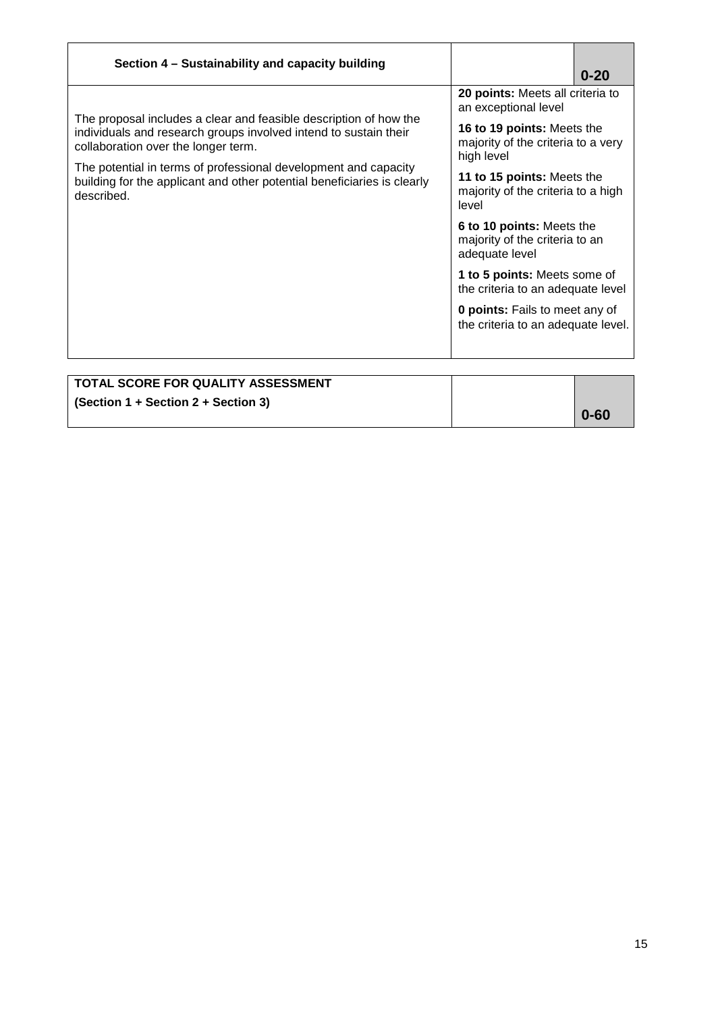| Section 4 - Sustainability and capacity building                                                                                                                             |                                                                                | $0 - 20$ |  |
|------------------------------------------------------------------------------------------------------------------------------------------------------------------------------|--------------------------------------------------------------------------------|----------|--|
|                                                                                                                                                                              | 20 points: Meets all criteria to<br>an exceptional level                       |          |  |
| The proposal includes a clear and feasible description of how the<br>individuals and research groups involved intend to sustain their<br>collaboration over the longer term. | 16 to 19 points: Meets the<br>majority of the criteria to a very<br>high level |          |  |
| The potential in terms of professional development and capacity<br>building for the applicant and other potential beneficiaries is clearly<br>described.                     | 11 to 15 points: Meets the<br>majority of the criteria to a high<br>level      |          |  |
|                                                                                                                                                                              | 6 to 10 points: Meets the<br>majority of the criteria to an<br>adequate level  |          |  |
|                                                                                                                                                                              | <b>1 to 5 points:</b> Meets some of<br>the criteria to an adequate level       |          |  |
|                                                                                                                                                                              | <b>0 points:</b> Fails to meet any of<br>the criteria to an adequate level.    |          |  |
|                                                                                                                                                                              |                                                                                |          |  |

| TOTAL SCORE FOR QUALITY ASSESSMENT    |          |
|---------------------------------------|----------|
| $(Section 1 + Section 2 + Section 3)$ |          |
|                                       | $0 - 60$ |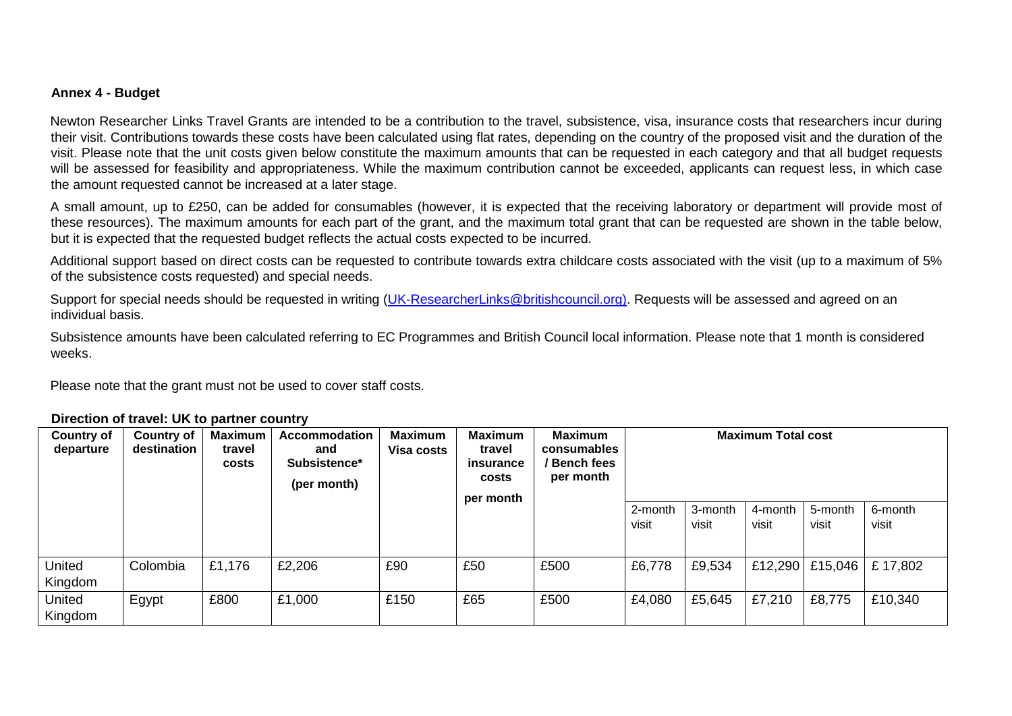# **Annex 4 - Budget**

Newton Researcher Links Travel Grants are intended to be a contribution to the travel, subsistence, visa, insurance costs that researchers incur during their visit. Contributions towards these costs have been calculated using flat rates, depending on the country of the proposed visit and the duration of the visit. Please note that the unit costs given below constitute the maximum amounts that can be requested in each category and that all budget requests will be assessed for feasibility and appropriateness. While the maximum contribution cannot be exceeded, applicants can request less, in which case the amount requested cannot be increased at a later stage.

A small amount, up to £250, can be added for consumables (however, it is expected that the receiving laboratory or department will provide most of these resources). The maximum amounts for each part of the grant, and the maximum total grant that can be requested are shown in the table below, but it is expected that the requested budget reflects the actual costs expected to be incurred.

Additional support based on direct costs can be requested to contribute towards extra childcare costs associated with the visit (up to a maximum of 5% of the subsistence costs requested) and special needs.

Support for special needs should be requested in writing (UK-ResearcherLinks@britishcouncil.org). Requests will be assessed and agreed on an individual basis.

Subsistence amounts have been calculated referring to EC Programmes and British Council local information. Please note that 1 month is considered weeks.

Please note that the grant must not be used to cover staff costs.

### **Direction of travel: UK to partner country**

| <b>Country of</b><br>departure | <b>Country of</b><br>destination | Maximum<br>travel<br>costs | <b>Accommodation</b><br>and<br>Subsistence*<br>(per month) | <b>Maximum</b><br><b>Visa costs</b> | <b>Maximum</b><br>travel<br>insurance<br>costs<br>per month | <b>Maximum</b><br>consumables<br>/ Bench fees<br>per month | <b>Maximum Total cost</b> |                  |                  |                  |                  |
|--------------------------------|----------------------------------|----------------------------|------------------------------------------------------------|-------------------------------------|-------------------------------------------------------------|------------------------------------------------------------|---------------------------|------------------|------------------|------------------|------------------|
|                                |                                  |                            |                                                            |                                     |                                                             |                                                            | 2-month<br>visit          | 3-month<br>visit | 4-month<br>visit | 5-month<br>visit | 6-month<br>visit |
| United<br>Kingdom              | Colombia                         | £1,176                     | £2,206                                                     | £90                                 | £50                                                         | £500                                                       | £6,778                    | £9,534           | £12,290          | £15,046          | £17,802          |
| United<br>Kingdom              | Egypt                            | £800                       | £1,000                                                     | £150                                | £65                                                         | £500                                                       | £4,080                    | £5,645           | £7,210           | £8,775           | £10,340          |